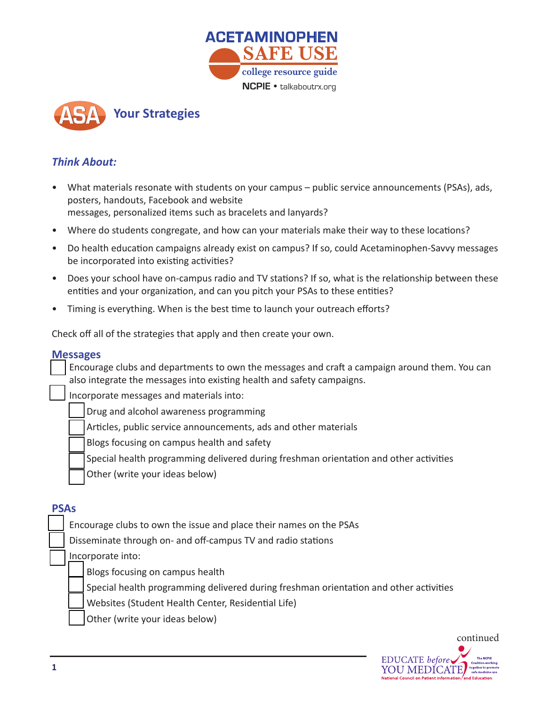



# *Think About:*

- posters, handouts, Facebook and website<br>messages, personalized items such as bracelets and lanyards? • What materials resonate with students on your campus – public service announcements (PSAs), ads, posters, handouts, Facebook and website
- messages, personalized items such as bracelets and lanyards?<br>• Where do students congregate, and how can your materials make their way to these locations? **college resource guide**
- Do health education campaigns already exist on campus? If so, could Acetaminophen-Savvy messages be incorporated into existing activities?
- Does your school have on-campus radio and TV stations? If so, what is the relationship between these entities and your organization, and can you pitch your PSAs to these entities?
- Timing is everything. When is the best time to launch your outreach efforts?

Check off all of the strategies that apply and then create your own.

#### **Messages**

Encourage clubs and departments to own the messages and craft a campaign around them. You can also integrate the messages into existing health and safety campaigns.

Incorporate messages and materials into:

- Drug and alcohol awareness programming
- Articles, public service announcements, ads and other materials
- Blogs focusing on campus health and safety
- Special health programming delivered during freshman orientation and other activities
- Other (write your ideas below)

# **PSAs**

- Encourage clubs to own the issue and place their names on the PSAs
- Disseminate through on- and off-campus TV and radio stations

Incorporate into:

- Blogs focusing on campus health
- Special health programming delivered during freshman orientation and other activities
- Websites (Student Health Center, Residential Life)
- Other (write your ideas below)